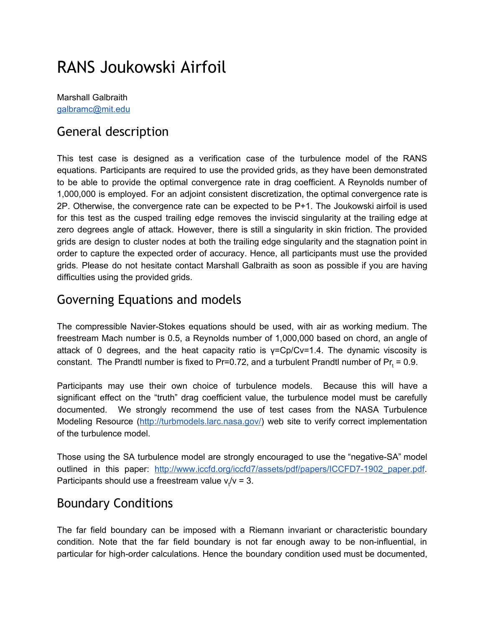# RANS Joukowski Airfoil

Marshall Galbraith [galbramc@mit.edu](mailto:galbramc@mit.edu)

#### General description

This test case is designed as a verification case of the turbulence model of the RANS equations. Participants are required to use the provided grids, as they have been demonstrated to be able to provide the optimal convergence rate in drag coefficient. A Reynolds number of 1,000,000 is employed. For an adjoint consistent discretization, the optimal convergence rate is 2P. Otherwise, the convergence rate can be expected to be P+1. The Joukowski airfoil is used for this test as the cusped trailing edge removes the inviscid singularity at the trailing edge at zero degrees angle of attack. However, there is still a singularity in skin friction. The provided grids are design to cluster nodes at both the trailing edge singularity and the stagnation point in order to capture the expected order of accuracy. Hence, all participants must use the provided grids. Please do not hesitate contact Marshall Galbraith as soon as possible if you are having difficulties using the provided grids.

#### Governing Equations and models

The compressible Navier-Stokes equations should be used, with air as working medium. The freestream Mach number is 0.5, a Reynolds number of 1,000,000 based on chord, an angle of attack of 0 degrees, and the heat capacity ratio is  $y=CD/Cv=1.4$ . The dynamic viscosity is constant. The Prandtl number is fixed to Pr=0.72, and a turbulent Prandtl number of Pr<sub>t</sub> = 0.9.

Participants may use their own choice of turbulence models. Because this will have a significant effect on the "truth" drag coefficient value, the turbulence model must be carefully documented. We strongly recommend the use of test cases from the NASA Turbulence Modeling Resource [\(http://turbmodels.larc.nasa.gov/\)](http://turbmodels.larc.nasa.gov/) web site to verify correct implementation of the turbulence model.

Those using the SA turbulence model are strongly encouraged to use the "negative-SA" model outlined in this paper: [http://www.iccfd.org/iccfd7/assets/pdf/papers/ICCFD7-1902\\_paper.pdf](http://www.iccfd.org/iccfd7/assets/pdf/papers/ICCFD7-1902_paper.pdf). Participants should use a freestream value  $v_t/v = 3$ .

#### Boundary Conditions

The far field boundary can be imposed with a Riemann invariant or characteristic boundary condition. Note that the far field boundary is not far enough away to be non-influential, in particular for high-order calculations. Hence the boundary condition used must be documented,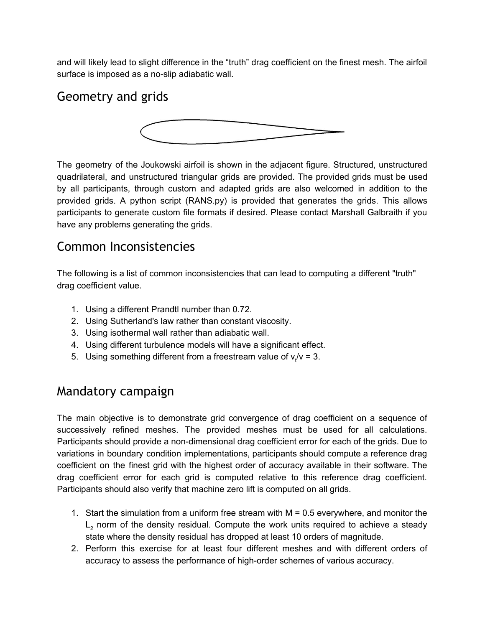and will likely lead to slight difference in the "truth" drag coefficient on the finest mesh. The airfoil surface is imposed as a no-slip adiabatic wall.

## Geometry and grids



The geometry of the Joukowski airfoil is shown in the adjacent figure. Structured, unstructured quadrilateral, and unstructured triangular grids are provided. The provided grids must be used by all participants, through custom and adapted grids are also welcomed in addition to the provided grids. A python script (RANS.py) is provided that generates the grids. This allows participants to generate custom file formats if desired. Please contact Marshall Galbraith if you have any problems generating the grids.

#### Common Inconsistencies

The following is a list of common inconsistencies that can lead to computing a different "truth" drag coefficient value.

- 1. Using a different Prandtl number than 0.72.
- 2. Using Sutherland's law rather than constant viscosity.
- 3. Using isothermal wall rather than adiabatic wall.
- 4. Using different turbulence models will have a significant effect.
- 5. Using something different from a freestream value of  $v_t/v = 3$ .

#### Mandatory campaign

The main objective is to demonstrate grid convergence of drag coefficient on a sequence of successively refined meshes. The provided meshes must be used for all calculations. Participants should provide a non-dimensional drag coefficient error for each of the grids. Due to variations in boundary condition implementations, participants should compute a reference drag coefficient on the finest grid with the highest order of accuracy available in their software. The drag coefficient error for each grid is computed relative to this reference drag coefficient. Participants should also verify that machine zero lift is computed on all grids.

- 1. Start the simulation from a uniform free stream with M = 0.5 everywhere, and monitor the  $L<sub>2</sub>$  norm of the density residual. Compute the work units required to achieve a steady state where the density residual has dropped at least 10 orders of magnitude.
- 2. Perform this exercise for at least four different meshes and with different orders of accuracy to assess the performance of high-order schemes of various accuracy.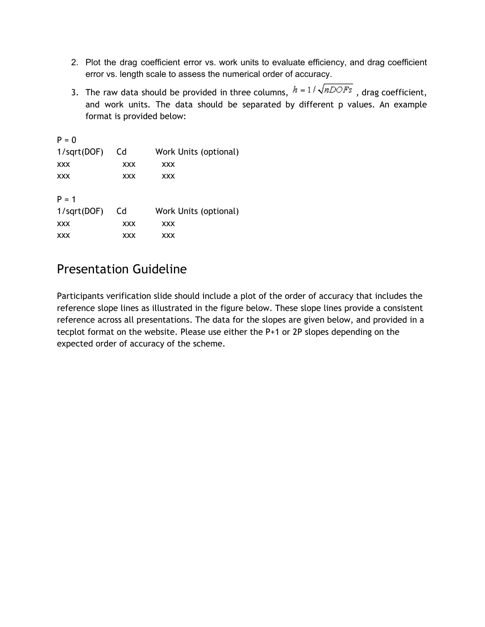- 2. Plot the drag coefficient error vs. work units to evaluate efficiency, and drag coefficient error vs. length scale to assess the numerical order of accuracy.
- 3. The raw data should be provided in three columns,  $h = 1/\sqrt{nDOFs}$ , drag coefficient, and work units. The data should be separated by different p values. An example format is provided below:

| $P = 0$        |            |                       |
|----------------|------------|-----------------------|
| 1/sqrt(DOF)    | Cd         | Work Units (optional) |
| XXX            | <b>XXX</b> | <b>XXX</b>            |
| XXX            | <b>XXX</b> | <b>XXX</b>            |
| $P = 1$        |            |                       |
| $1$ /sqrt(DOF) | Cd         | Work Units (optional) |
| XXX            | <b>XXX</b> | <b>XXX</b>            |
| XXX            | <b>XXX</b> | <b>XXX</b>            |

## Presentation Guideline

Participants verification slide should include a plot of the order of accuracy that includes the reference slope lines as illustrated in the figure below. These slope lines provide a consistent reference across all presentations. The data for the slopes are given below, and provided in a tecplot format on the website. Please use either the P+1 or 2P slopes depending on the expected order of accuracy of the scheme.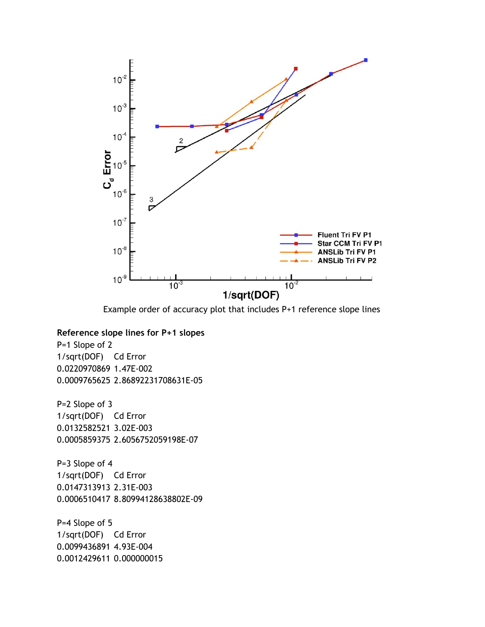

Example order of accuracy plot that includes P+1 reference slope lines

#### **Reference slope lines for P+1 slopes**

P=1 Slope of 2 1/sqrt(DOF) Cd Error 0.0220970869 1.47E-002 0.0009765625 2.86892231708631E-05

P=2 Slope of 3 1/sqrt(DOF) Cd Error 0.0132582521 3.02E-003 0.0005859375 2.6056752059198E-07

P=3 Slope of 4 1/sqrt(DOF) Cd Error 0.0147313913 2.31E-003 0.0006510417 8.80994128638802E-09

P=4 Slope of 5 1/sqrt(DOF) Cd Error 0.0099436891 4.93E-004 0.0012429611 0.000000015